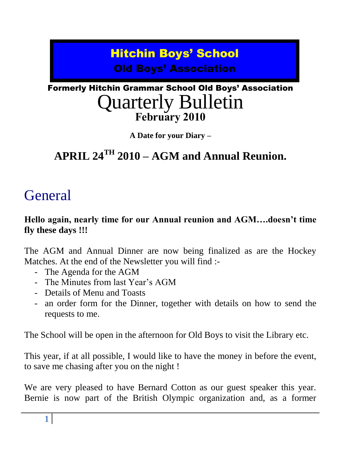# Hitchin Boys' School Old Boys' Association

# Formerly Hitchin Grammar School Old Boys' Association Quarterly Bulletin **February 2010**

**A Date for your Diary –**

# **APRIL 24TH 2010 – AGM and Annual Reunion.**

# **General**

## **Hello again, nearly time for our Annual reunion and AGM….doesn't time fly these days !!!**

The AGM and Annual Dinner are now being finalized as are the Hockey Matches. At the end of the Newsletter you will find :-

- The Agenda for the AGM
- The Minutes from last Year's AGM
- Details of Menu and Toasts
- an order form for the Dinner, together with details on how to send the requests to me.

The School will be open in the afternoon for Old Boys to visit the Library etc.

This year, if at all possible, I would like to have the money in before the event, to save me chasing after you on the night !

We are very pleased to have Bernard Cotton as our guest speaker this year. Bernie is now part of the British Olympic organization and, as a former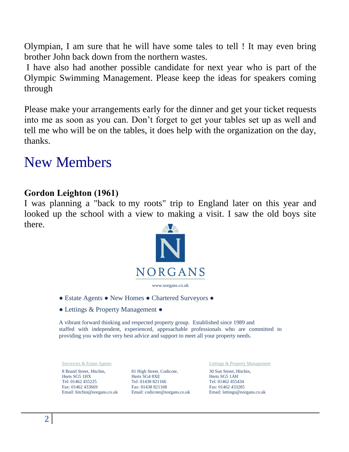Olympian, I am sure that he will have some tales to tell ! It may even bring brother John back down from the northern wastes.

I have also had another possible candidate for next year who is part of the Olympic Swimming Management. Please keep the ideas for speakers coming through

Please make your arrangements early for the dinner and get your ticket requests into me as soon as you can. Don"t forget to get your tables set up as well and tell me who will be on the tables, it does help with the organization on the day, thanks.

# New Members

### **Gordon Leighton (1961)**

I was planning a "back to my roots" trip to England later on this year and looked up the school with a view to making a visit. I saw the old boys site there.



- Estate Agents New Homes Chartered Surveyors ●
- Lettings & Property Management ●

A vibrant forward thinking and respected property group. Established since 1989 and staffed with independent, experienced, approachable professionals who are committed to providing you with the very best advice and support to meet all your property needs.

8 Brand Street, Hitchin, Herts SG5 1HX Tel: 01462 455225 Fax: 01462 433669 Email: hitchin@norgans.co.uk

81 High Street, Codicote, Herts SG4 8XE Tel: 01438 821166 Fax: 01438 821168 Email: codicote@norgans.co.uk

Surveyors & Estate Agents **Lettings & Property Management** 

30 Sun Street, Hitchin, Herts SG5 1AH Tel: 01462 455434 Fax: 01462 433285 Email: lettings@norgans.co.uk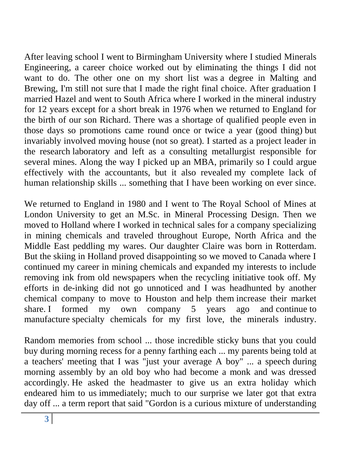After leaving school I went to Birmingham University where I studied Minerals Engineering, a career choice worked out by eliminating the things I did not want to do. The other one on my short list was a degree in Malting and Brewing, I'm still not sure that I made the right final choice. After graduation I married Hazel and went to South Africa where I worked in the mineral industry for 12 years except for a short break in 1976 when we returned to England for the birth of our son Richard. There was a shortage of qualified people even in those days so promotions came round once or twice a year (good thing) but invariably involved moving house (not so great). I started as a project leader in the research laboratory and left as a consulting metallurgist responsible for several mines. Along the way I picked up an MBA, primarily so I could argue effectively with the accountants, but it also revealed my complete lack of human relationship skills ... something that I have been working on ever since.

We returned to England in 1980 and I went to The Royal School of Mines at London University to get an M.Sc. in Mineral Processing Design. Then we moved to Holland where I worked in technical sales for a company specializing in mining chemicals and traveled throughout Europe, North Africa and the Middle East peddling my wares. Our daughter Claire was born in Rotterdam. But the skiing in Holland proved disappointing so we moved to Canada where I continued my career in mining chemicals and expanded my interests to include removing ink from old newspapers when the recycling initiative took off. My efforts in de-inking did not go unnoticed and I was headhunted by another chemical company to move to Houston and help them increase their market share. I formed my own company 5 years ago and continue to manufacture specialty chemicals for my first love, the minerals industry.

Random memories from school ... those incredible sticky buns that you could buy during morning recess for a penny farthing each ... my parents being told at a teachers' meeting that I was "just your average A boy" ... a speech during morning assembly by an old boy who had become a monk and was dressed accordingly. He asked the headmaster to give us an extra holiday which endeared him to us immediately; much to our surprise we later got that extra day off ... a term report that said "Gordon is a curious mixture of understanding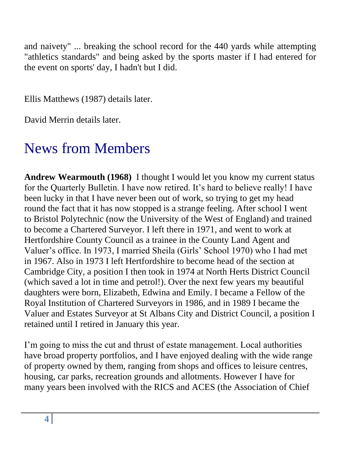and naivety" ... breaking the school record for the 440 yards while attempting "athletics standards" and being asked by the sports master if I had entered for the event on sports' day, I hadn't but I did.

Ellis Matthews (1987) details later.

David Merrin details later.

# News from Members

**Andrew Wearmouth (1968)** I thought I would let you know my current status for the Quarterly Bulletin. I have now retired. It's hard to believe really! I have been lucky in that I have never been out of work, so trying to get my head round the fact that it has now stopped is a strange feeling. After school I went to Bristol Polytechnic (now the University of the West of England) and trained to become a Chartered Surveyor. I left there in 1971, and went to work at Hertfordshire County Council as a trainee in the County Land Agent and Valuer"s office. In 1973, I married Sheila (Girls" School 1970) who I had met in 1967. Also in 1973 I left Hertfordshire to become head of the section at Cambridge City, a position I then took in 1974 at North Herts District Council (which saved a lot in time and petrol!). Over the next few years my beautiful daughters were born, Elizabeth, Edwina and Emily. I became a Fellow of the Royal Institution of Chartered Surveyors in 1986, and in 1989 I became the Valuer and Estates Surveyor at St Albans City and District Council, a position I retained until I retired in January this year.

I'm going to miss the cut and thrust of estate management. Local authorities have broad property portfolios, and I have enjoyed dealing with the wide range of property owned by them, ranging from shops and offices to leisure centres, housing, car parks, recreation grounds and allotments. However I have for many years been involved with the RICS and ACES (the Association of Chief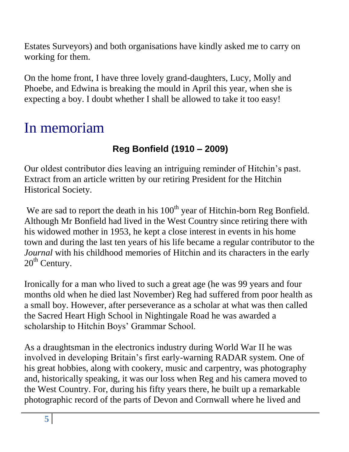Estates Surveyors) and both organisations have kindly asked me to carry on working for them.

On the home front, I have three lovely grand-daughters, Lucy, Molly and Phoebe, and Edwina is breaking the mould in April this year, when she is expecting a boy. I doubt whether I shall be allowed to take it too easy!

# In memoriam

# **Reg Bonfield (1910 – 2009)**

Our oldest contributor dies leaving an intriguing reminder of Hitchin"s past. Extract from an article written by our retiring President for the Hitchin Historical Society.

We are sad to report the death in his  $100<sup>th</sup>$  year of Hitchin-born Reg Bonfield. Although Mr Bonfield had lived in the West Country since retiring there with his widowed mother in 1953, he kept a close interest in events in his home town and during the last ten years of his life became a regular contributor to the *Journal* with his childhood memories of Hitchin and its characters in the early  $20<sup>th</sup>$  Century.

Ironically for a man who lived to such a great age (he was 99 years and four months old when he died last November) Reg had suffered from poor health as a small boy. However, after perseverance as a scholar at what was then called the Sacred Heart High School in Nightingale Road he was awarded a scholarship to Hitchin Boys' Grammar School.

As a draughtsman in the electronics industry during World War II he was involved in developing Britain"s first early-warning RADAR system. One of his great hobbies, along with cookery, music and carpentry, was photography and, historically speaking, it was our loss when Reg and his camera moved to the West Country. For, during his fifty years there, he built up a remarkable photographic record of the parts of Devon and Cornwall where he lived and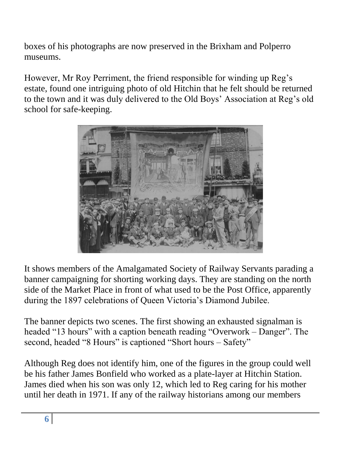boxes of his photographs are now preserved in the Brixham and Polperro museums.

However, Mr Roy Perriment, the friend responsible for winding up Reg"s estate, found one intriguing photo of old Hitchin that he felt should be returned to the town and it was duly delivered to the Old Boys" Association at Reg"s old school for safe-keeping.



It shows members of the Amalgamated Society of Railway Servants parading a banner campaigning for shorting working days. They are standing on the north side of the Market Place in front of what used to be the Post Office, apparently during the 1897 celebrations of Queen Victoria"s Diamond Jubilee.

The banner depicts two scenes. The first showing an exhausted signalman is headed "13 hours" with a caption beneath reading "Overwork – Danger". The second, headed "8 Hours" is captioned "Short hours – Safety"

Although Reg does not identify him, one of the figures in the group could well be his father James Bonfield who worked as a plate-layer at Hitchin Station. James died when his son was only 12, which led to Reg caring for his mother until her death in 1971. If any of the railway historians among our members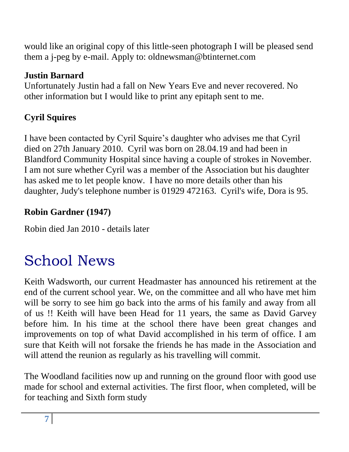would like an original copy of this little-seen photograph I will be pleased send them a j-peg by e-mail. Apply to: oldnewsman@btinternet.com

## **Justin Barnard**

Unfortunately Justin had a fall on New Years Eve and never recovered. No other information but I would like to print any epitaph sent to me.

# **Cyril Squires**

I have been contacted by Cyril Squire"s daughter who advises me that Cyril died on 27th January 2010. Cyril was born on 28.04.19 and had been in Blandford Community Hospital since having a couple of strokes in November. I am not sure whether Cyril was a member of the Association but his daughter has asked me to let people know. I have no more details other than his daughter, Judy's telephone number is 01929 472163. Cyril's wife, Dora is 95.

## **Robin Gardner (1947)**

Robin died Jan 2010 - details later

# School News

Keith Wadsworth, our current Headmaster has announced his retirement at the end of the current school year. We, on the committee and all who have met him will be sorry to see him go back into the arms of his family and away from all of us !! Keith will have been Head for 11 years, the same as David Garvey before him. In his time at the school there have been great changes and improvements on top of what David accomplished in his term of office. I am sure that Keith will not forsake the friends he has made in the Association and will attend the reunion as regularly as his travelling will commit.

The Woodland facilities now up and running on the ground floor with good use made for school and external activities. The first floor, when completed, will be for teaching and Sixth form study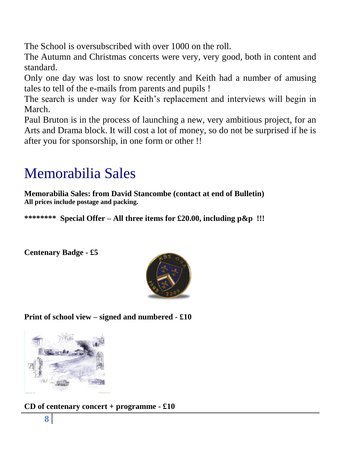The School is oversubscribed with over 1000 on the roll.

The Autumn and Christmas concerts were very, very good, both in content and standard.

Only one day was lost to snow recently and Keith had a number of amusing tales to tell of the e-mails from parents and pupils !

The search is under way for Keith's replacement and interviews will begin in March.

Paul Bruton is in the process of launching a new, very ambitious project, for an Arts and Drama block. It will cost a lot of money, so do not be surprised if he is after you for sponsorship, in one form or other !!

# Memorabilia Sales

**Memorabilia Sales: from David Stancombe (contact at end of Bulletin) All prices include postage and packing.**

**\*\*\*\*\*\*\*\* Special Offer – All three items for £20.00, including p&p !!!**

**Centenary Badge - £5** 



**Print of school view – signed and numbered - £10**



**CD of centenary concert + programme - £10**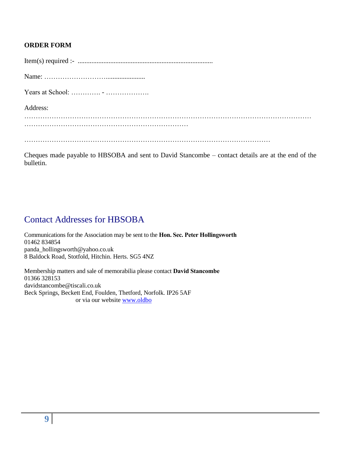#### **ORDER FORM**

| Years at School: $\dots \dots \dots \dots \dots \dots \dots \dots \dots \dots$ |
|--------------------------------------------------------------------------------|
| Address:                                                                       |
|                                                                                |
|                                                                                |
|                                                                                |

Cheques made payable to HBSOBA and sent to David Stancombe – contact details are at the end of the bulletin.

## Contact Addresses for HBSOBA

Communications for the Association may be sent to the **Hon. Sec. Peter Hollingsworth** 01462 834854 panda\_hollingsworth@yahoo.co.uk 8 Baldock Road, Stotfold, Hitchin. Herts. SG5 4NZ

Membership matters and sale of memorabilia please contact **David Stancombe** 01366 328153 davidstancombe@tiscali.co.uk Beck Springs, Beckett End, Foulden, Thetford, Norfolk. IP26 5AF or via our website [www.oldbo](http://www.oldbo/)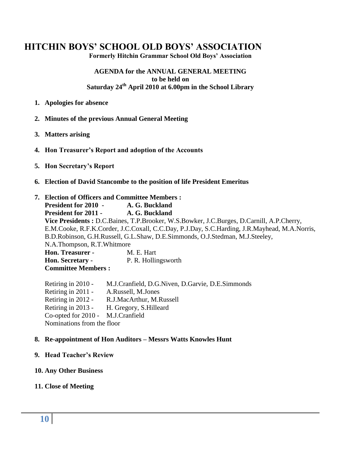### **HITCHIN BOYS' SCHOOL OLD BOYS' ASSOCIATION**

**Formerly Hitchin Grammar School Old Boys' Association**

#### **AGENDA for the ANNUAL GENERAL MEETING to be held on Saturday 24th April 2010 at 6.00pm in the School Library**

- **1. Apologies for absence**
- **2. Minutes of the previous Annual General Meeting**
- **3. Matters arising**
- **4. Hon Treasurer's Report and adoption of the Accounts**
- **5. Hon Secretary's Report**
- **6. Election of David Stancombe to the position of life President Emeritus**

#### **7. Election of Officers and Committee Members :**

**President for 2010 - A. G. Buckland President for 2011 - A. G. Buckland Vice Presidents :** D.C.Baines, T.P.Brooker, W.S.Bowker, J.C.Burges, D.Carnill, A.P.Cherry, E.M.Cooke, R.F.K.Corder, J.C.Coxall, C.C.Day, P.J.Day, S.C.Harding, J.R.Mayhead, M.A.Norris, B.D.Robinson, G.H.Russell, G.L.Shaw, D.E.Simmonds, O.J.Stedman, M.J.Steeley, N.A.Thompson, R.T.Whitmore **Hon. Treasurer -** M. E. Hart **Hon. Secretary -** P. R. Hollingsworth **Committee Members :**

Retiring in 2010 - M.J.Cranfield, D.G.Niven, D.Garvie, D.E.Simmonds Retiring in 2011 - A.Russell, M.Jones Retiring in 2012 - R.J.MacArthur, M.Russell Retiring in 2013 - H. Gregory, S.Hilleard Co-opted for 2010 - M.J.Cranfield Nominations from the floor

#### **8. Re-appointment of Hon Auditors – Messrs Watts Knowles Hunt**

#### **9. Head Teacher's Review**

#### **10. Any Other Business**

#### **11. Close of Meeting**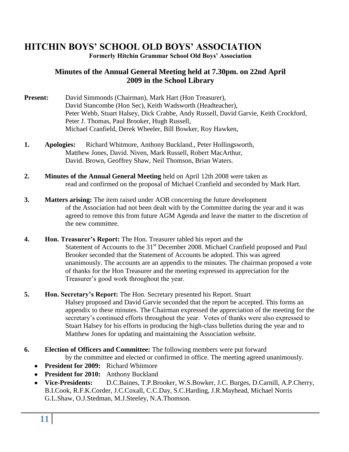## **HITCHIN BOYS' SCHOOL OLD BOYS' ASSOCIATION**

**Formerly Hitchin Grammar School Old Boys' Association**

#### **Minutes of the Annual General Meeting held at 7.30pm. on 22nd April 2009 in the School Library**

- **Present:** David Simmonds (Chairman), Mark Hart (Hon Treasurer), David Stancombe (Hon Sec), Keith Wadsworth (Headteacher), Peter Webb, Stuart Halsey, Dick Crabbe, Andy Russell, David Garvie, Keith Crockford, Peter J. Thomas, Paul Brooker, Hugh Russell, Michael Cranfield, Derek Wheeler, Bill Bowker, Roy Hawken,
- **1. Apologies:** Richard Whitmore, Anthony Buckland., Peter Hollingsworth, Matthew Jones, David. Niven, Mark Russell, Robert MacArthur, David. Brown, Geoffrey Shaw, Neil Thomson, Brian Waters.
- **2. Minutes of the Annual General Meeting** held on April 12th 2008 were taken as read and confirmed on the proposal of Michael Cranfield and seconded by Mark Hart.
- **3.** Matters arising: The item raised under AOB concerning the future development of the Association had not been dealt with by the Committee during the year and it was agreed to remove this from future AGM Agenda and leave the matter to the discretion of the new committee.
- **4. Hon. Treasurer's Report:** The Hon. Treasurer tabled his report and the Statement of Accounts to the 31<sup>st</sup> December 2008. Michael Cranfield proposed and Paul Brooker seconded that the Statement of Accounts be adopted. This was agreed unanimously. The accounts are an appendix to the minutes. The chairman proposed a vote of thanks for the Hon Treasurer and the meeting expressed its appreciation for the Treasurer"s good work throughout the year.
- **5. Hon. Secretary's Report:** The Hon. Secretary presented his Report. Stuart Halsey proposed and David Garvie seconded that the report be accepted. This forms an appendix to these minutes. The Chairman expressed the appreciation of the meeting for the secretary"s continued efforts throughout the year. Votes of thanks were also expressed to Stuart Halsey for his efforts in producing the high-class bulletins during the year and to Matthew Jones for updating and maintaining the Association website.
- **6. Election of Officers and Committee:** The following members were put forward by the committee and elected or confirmed in office. The meeting agreed unanimously.
	- **President for 2009:** Richard Whitmore
	- **President for 2010:** Anthony Buckland
	- **Vice-Presidents:** D.C.Baines, T.P.Brooker, W.S.Bowker, J.C. Burges, D.Carnill, A.P.Cherry, B.I.Cook, R.F.K.Corder, J.C.Coxall, C.C.Day, S.C.Harding, J.R.Mayhead, Michael Norris G.L.Shaw, O.J.Stedman, M.J.Steeley, N.A.Thomson.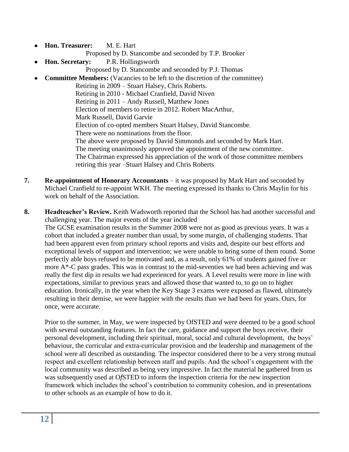- **Hon. Treasurer:** M. E. Hart  $\bullet$ 
	- Proposed by D. Stancombe and seconded by T.P. Brooker
- **Hon. Secretary:** P.R. Hollingsworth Proposed by D. Stancombe and seconded by P.J. Thomas
- **Committee Members:** (Vacancies to be left to the discretion of the committee)

Retiring in 2009 – Stuart Halsey, Chris Roberts. Retiring in 2010 - Michael Cranfield, David Niven Retiring in 2011 – Andy Russell, Matthew Jones Election of members to retire in 2012. Robert MacArthur, Mark Russell, David Garvie Election of co-opted members Stuart Halsey, David Stancombe. There were no nominations from the floor. The above were proposed by David Simmonds and seconded by Mark Hart. The meeting unanimously approved the appointment of the new committee. The Chairman expressed his appreciation of the work of those committee members retiring this year –Stuart Halsey and Chris Roberts

- **7. Re-appointment of Honorary Accountants**  it was proposed by Mark Hart and seconded by Michael Cranfield to re-appoint WKH. The meeting expressed its thanks to Chris Maylin for his work on behalf of the Association.
- **8. Headteacher's Review.** Keith Wadsworth reported that the School has had another successful and challenging year. The major events of the year included The GCSE examination results in the Summer 2008 were not as good as previous years. It was a cohort that included a greater number than usual, by some margin, of challenging students. That had been apparent even from primary school reports and visits and, despite our best efforts and exceptional levels of support and intervention; we were unable to bring some of them round. Some perfectly able boys refused to be motivated and, as a result, only 61% of students gained five or more  $A^*$ -C pass grades. This was in contrast to the mid-seventies we had been achieving and was really the first dip in results we had experienced for years. A Level results were more in line with expectations, similar to previous years and allowed those that wanted to, to go on to higher education. Ironically, in the year when the Key Stage 3 exams were exposed as flawed, ultimately resulting in their demise, we were happier with the results than we had been for years. Ours, for once, were accurate.

Prior to the summer, in May, we were inspected by OfSTED and were deemed to be a good school with several outstanding features. In fact the care, guidance and support the boys receive, their personal development, including their spiritual, moral, social and cultural development, the boys" behaviour, the curricular and extra-curricular provision and the leadership and management of the school were all described as outstanding. The inspector considered there to be a very strong mutual respect and excellent relationship between staff and pupils. And the school"s engagement with the local community was described as being very impressive. In fact the material he gathered from us was subsequently used at O*f*STED to inform the inspection criteria for the new inspection framework which includes the school"s contribution to community cohesion, and in presentations to other schools as an example of how to do it.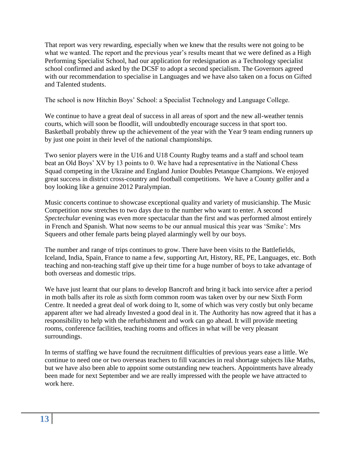That report was very rewarding, especially when we knew that the results were not going to be what we wanted. The report and the previous year's results meant that we were defined as a High Performing Specialist School, had our application for redesignation as a Technology specialist school confirmed and asked by the DCSF to adopt a second specialism. The Governors agreed with our recommendation to specialise in Languages and we have also taken on a focus on Gifted and Talented students.

The school is now Hitchin Boys" School: a Specialist Technology and Language College.

We continue to have a great deal of success in all areas of sport and the new all-weather tennis courts, which will soon be floodlit, will undoubtedly encourage success in that sport too. Basketball probably threw up the achievement of the year with the Year 9 team ending runners up by just one point in their level of the national championships.

Two senior players were in the U16 and U18 County Rugby teams and a staff and school team beat an Old Boys" XV by 13 points to 0. We have had a representative in the National Chess Squad competing in the Ukraine and England Junior Doubles Petanque Champions. We enjoyed great success in district cross-country and football competitions. We have a County golfer and a boy looking like a genuine 2012 Paralympian.

Music concerts continue to showcase exceptional quality and variety of musicianship. The Music Competition now stretches to two days due to the number who want to enter. A second *Spectechular* evening was even more spectacular than the first and was performed almost entirely in French and Spanish. What now seems to be our annual musical this year was "Smike": Mrs Squeers and other female parts being played alarmingly well by our boys.

The number and range of trips continues to grow. There have been visits to the Battlefields, Iceland, India, Spain, France to name a few, supporting Art, History, RE, PE, Languages, etc. Both teaching and non-teaching staff give up their time for a huge number of boys to take advantage of both overseas and domestic trips.

We have just learnt that our plans to develop Bancroft and bring it back into service after a period in moth balls after its role as sixth form common room was taken over by our new Sixth Form Centre. It needed a great deal of work doing to It, some of which was very costly but only became apparent after we had already Invested a good deal in it. The Authority has now agreed that it has a responsibility to help with the refurbishment and work can go ahead. It will provide meeting rooms, conference facilities, teaching rooms and offices in what will be very pleasant surroundings.

In terms of staffing we have found the recruitment difficulties of previous years ease a little. We continue to need one or two overseas teachers to fill vacancies in real shortage subjects like Maths, but we have also been able to appoint some outstanding new teachers. Appointments have already been made for next September and we are really impressed with the people we have attracted to work here.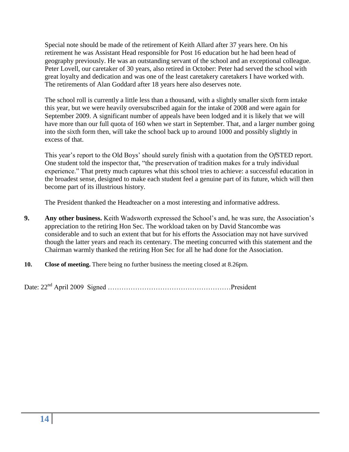Special note should be made of the retirement of Keith Allard after 37 years here. On his retirement he was Assistant Head responsible for Post 16 education but he had been head of geography previously. He was an outstanding servant of the school and an exceptional colleague. Peter Lovell, our caretaker of 30 years, also retired in October: Peter had served the school with great loyalty and dedication and was one of the least caretakery caretakers I have worked with. The retirements of Alan Goddard after 18 years here also deserves note.

The school roll is currently a little less than a thousand, with a slightly smaller sixth form intake this year, but we were heavily oversubscribed again for the intake of 2008 and were again for September 2009. A significant number of appeals have been lodged and it is likely that we will have more than our full quota of 160 when we start in September. That, and a larger number going into the sixth form then, will take the school back up to around 1000 and possibly slightly in excess of that.

This year"s report to the Old Boys" should surely finish with a quotation from the O*f*STED report. One student told the inspector that, "the preservation of tradition makes for a truly individual experience." That pretty much captures what this school tries to achieve: a successful education in the broadest sense, designed to make each student feel a genuine part of its future, which will then become part of its illustrious history.

The President thanked the Headteacher on a most interesting and informative address.

- **9. Any other business.** Keith Wadsworth expressed the School's and, he was sure, the Association's appreciation to the retiring Hon Sec. The workload taken on by David Stancombe was considerable and to such an extent that but for his efforts the Association may not have survived though the latter years and reach its centenary. The meeting concurred with this statement and the Chairman warmly thanked the retiring Hon Sec for all he had done for the Association.
- **10. Close of meeting.** There being no further business the meeting closed at 8.26pm.

Date: 22<sup>nd</sup> April 2009 Signed ……………………………………………………………President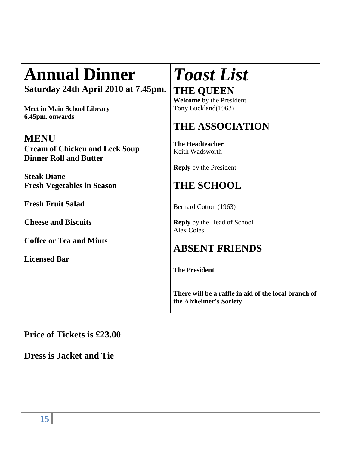# **Annual Dinner**

**Saturday 24th April 2010 at 7.45pm.**

**Meet in Main School Library 6.45pm. onwards**

## **MENU**

**Cream of Chicken and Leek Soup Dinner Roll and Butter**

**Steak Diane Fresh Vegetables in Season**

**Fresh Fruit Salad**

**Cheese and Biscuits**

**Coffee or Tea and Mints**

**Licensed Bar**

# *Toast List*

**THE QUEEN Welcome** by the President Tony Buckland(1963)

# **THE ASSOCIATION**

**The Headteacher** Keith Wadsworth

**Reply** by the President

# **THE SCHOOL**

Bernard Cotton (1963)

**Reply** by the Head of School Alex Coles

# **ABSENT FRIENDS**

**The President**

**There will be a raffle in aid of the local branch of the Alzheimer's Society**

## **Price of Tickets is £23.00**

**Dress is Jacket and Tie**